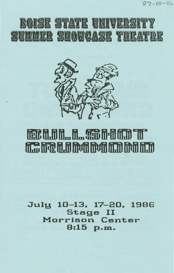



# field til til Til Til Til Til Til Til fit: friete in mit mort from fitch from ht

July 10-13. 17-20. 1986 Stage II Morrison Center 8:15 p.m.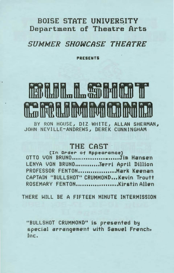#### BOISE STATE UNIVERSITY Department of Theatre Arts

#### SUMMER SHOWCASE THEATRE

PRESENTS

# **MARIA MARIA MARITANI SA MARIA MARIA MARIA MARIA MARIA MARIA MARIA MARIA MARIA MARIA MARIA MARIA MARIA MARIA MA**

BY RON HOUSE, DIZ WHITE, ALLAN SHERMAN, JOHN NEVILLE-ANDREWS, DEREK CUNNINGHAM

#### THE CAST ·

[In Order of RppearanceJ OTTO VON BRUNO .........................Jim Hansen LENYA VON BRUNO ............ Terri April Dillion PROFESSOR FENTON .................... Mark Keenan CAPTAIN "BULLSHOT" CRUMMOND... Kevin Troutt ROSEMARY FENTON .................... Kirstin Allen

THERE WILL BE A FIFTEEN MINUTE INTERMISSION

"BULLSHOT CRUMMOND" is presented by special arrangement with Samuel French, Inc.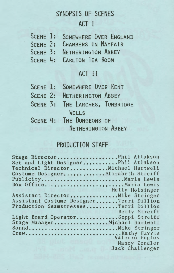# SYNOPSIS OF SCENES ACT I

| SCENE 1: SOMEWHERE OVER ENGLAND |
|---------------------------------|
| SCENE 2: CHAMBERS IN MAYFAIR    |
| SCENE 3: NETHERINGTON ABBEY     |
| SCENE 4: CARLTON TEA ROOM       |

## ACT II

|                           |  |  | SCENE 1: SOMEWHERE OVER KENT       |                                 |  |
|---------------------------|--|--|------------------------------------|---------------------------------|--|
|                           |  |  | <b>SCENE 2: NETHERINGTON ABBEY</b> |                                 |  |
|                           |  |  |                                    | SCENE 3: THE LARCHES, TUNBRIDGE |  |
| WELLS                     |  |  |                                    |                                 |  |
|                           |  |  | <b>SCENE 4: THE DUNGEONS OF</b>    |                                 |  |
| <b>NETHERINGTON ABBEY</b> |  |  |                                    |                                 |  |

### PRODUCTION STAFF

| Stage DirectorPhil Atlakson             |                                   |
|-----------------------------------------|-----------------------------------|
| Set and LIght DesignerPhil Atlakson     |                                   |
| Technical DirectorMichael Hartwell      |                                   |
| Costume DesignerElizabeth Streiff       |                                   |
| PublicityMaria Lewis                    |                                   |
| Box OfficeMaria Lewis                   |                                   |
|                                         | <b>Example 11 Holly Holsinger</b> |
| Assistant DirectorMike Stringer         |                                   |
| Assistant Costume DesignerTerri Dillion |                                   |
| Production SeamstressesTerri Dillion    |                                   |
|                                         | Betty Streiff                     |
| Light Board OperatorSeppi Streiff       |                                   |
| Stage ManagerMichael Hartwell           |                                   |
| SoundMike Stringer                      |                                   |
|                                         |                                   |
|                                         |                                   |
|                                         | Nancy Zendler                     |
|                                         | Jack Challenger                   |